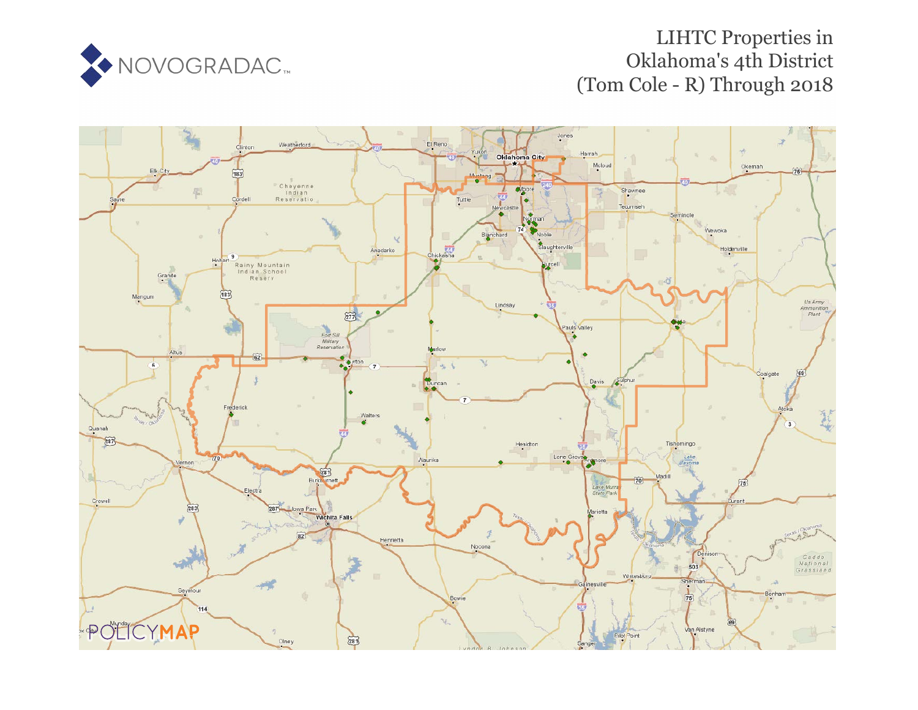

# LIHTC Properties in Oklahoma's 4th District (Tom Cole - R) Through 2018

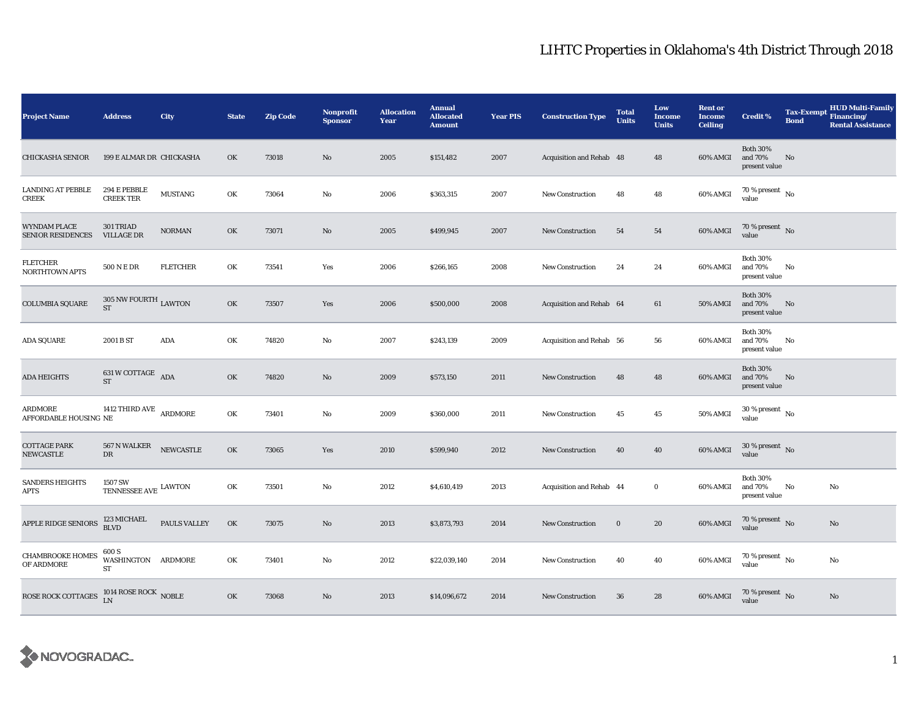| <b>Project Name</b>                             | <b>Address</b>                             | City            | <b>State</b> | <b>Zip Code</b> | Nonprofit<br><b>Sponsor</b> | <b>Allocation</b><br>Year | <b>Annual</b><br><b>Allocated</b><br><b>Amount</b> | <b>Year PIS</b> | <b>Construction Type</b> | <b>Total</b><br><b>Units</b> | Low<br><b>Income</b><br><b>Units</b> | <b>Rent or</b><br><b>Income</b><br><b>Ceiling</b> | <b>Credit %</b>                             | Tax-Exempt Financing/<br><b>Bond</b> | <b>HUD Multi-Family</b><br><b>Rental Assistance</b> |
|-------------------------------------------------|--------------------------------------------|-----------------|--------------|-----------------|-----------------------------|---------------------------|----------------------------------------------------|-----------------|--------------------------|------------------------------|--------------------------------------|---------------------------------------------------|---------------------------------------------|--------------------------------------|-----------------------------------------------------|
| CHICKASHA SENIOR                                | 199 E ALMAR DR CHICKASHA                   |                 | OK           | 73018           | No                          | 2005                      | \$151,482                                          | 2007            | Acquisition and Rehab 48 |                              | 48                                   | 60% AMGI                                          | <b>Both 30%</b><br>and 70%<br>present value | No                                   |                                                     |
| <b>LANDING AT PEBBLE</b><br>CREEK               | 294 E PEBBLE<br><b>CREEK TER</b>           | <b>MUSTANG</b>  | OK           | 73064           | No                          | 2006                      | \$363,315                                          | 2007            | <b>New Construction</b>  | 48                           | 48                                   | 60% AMGI                                          | $70\,\%$ present $\,$ No $\,$<br>value      |                                      |                                                     |
| <b>WYNDAM PLACE</b><br><b>SENIOR RESIDENCES</b> | 301 TRIAD<br><b>VILLAGE DR</b>             | <b>NORMAN</b>   | OK           | 73071           | No                          | 2005                      | \$499,945                                          | 2007            | New Construction         | 54                           | 54                                   | 60% AMGI                                          | $70\,\%$ present $\,$ No value              |                                      |                                                     |
| FLETCHER<br><b>NORTHTOWN APTS</b>               | 500 N E DR                                 | <b>FLETCHER</b> | OK           | 73541           | Yes                         | 2006                      | \$266,165                                          | 2008            | <b>New Construction</b>  | 24                           | 24                                   | 60% AMGI                                          | <b>Both 30%</b><br>and 70%<br>present value | No                                   |                                                     |
| <b>COLUMBIA SQUARE</b>                          | 305 NW FOURTH $_{\rm LAWTON}$<br><b>ST</b> |                 | OK           | 73507           | Yes                         | 2006                      | \$500,000                                          | 2008            | Acquisition and Rehab 64 |                              | 61                                   | <b>50% AMGI</b>                                   | <b>Both 30%</b><br>and 70%<br>present value | No                                   |                                                     |
| <b>ADA SQUARE</b>                               | 2001 B ST                                  | ADA             | OK           | 74820           | $\rm No$                    | 2007                      | \$243,139                                          | 2009            | Acquisition and Rehab 56 |                              | 56                                   | 60% AMGI                                          | <b>Both 30%</b><br>and 70%<br>present value | No                                   |                                                     |
| <b>ADA HEIGHTS</b>                              | 631 W COTTAGE $\overline{ADA}$<br>ST       |                 | OK           | 74820           | No                          | 2009                      | \$573,150                                          | 2011            | <b>New Construction</b>  | 48                           | 48                                   | 60% AMGI                                          | <b>Both 30%</b><br>and 70%<br>present value | No                                   |                                                     |
| ARDMORE<br>AFFORDABLE HOUSING NE                | 1412 THIRD AVE $\,$ ARDMORE                |                 | OK           | 73401           | $\rm No$                    | 2009                      | \$360,000                                          | 2011            | <b>New Construction</b>  | 45                           | 45                                   | 50% AMGI                                          | $30$ % present $\,$ No $\,$<br>value        |                                      |                                                     |
| <b>COTTAGE PARK</b><br><b>NEWCASTLE</b>         | $567$ N WALKER $\quad$ NEWCASTLE<br>DR     |                 | OK           | 73065           | Yes                         | 2010                      | \$599,940                                          | 2012            | <b>New Construction</b>  | 40                           | 40                                   | 60% AMGI                                          | $30\,\%$ present $\,$ No value              |                                      |                                                     |
| <b>SANDERS HEIGHTS</b><br><b>APTS</b>           | 1507 SW<br>TENNESSEE AVE $\,$ LAWTON       |                 | OK           | 73501           | No                          | 2012                      | \$4,610,419                                        | 2013            | Acquisition and Rehab 44 |                              | $\bf{0}$                             | 60% AMGI                                          | <b>Both 30%</b><br>and 70%<br>present value | No                                   | No                                                  |
| APPLE RIDGE SENIORS                             | 123 MICHAEL<br><b>BLVD</b>                 | PAULS VALLEY    | OK           | 73075           | No                          | 2013                      | \$3,873,793                                        | 2014            | <b>New Construction</b>  | $\bf{0}$                     | 20                                   | 60% AMGI                                          | $70\,\%$ present $$$ No value               |                                      | $\mathbf{No}$                                       |
| <b>CHAMBROOKE HOMES</b><br>OF ARDMORE           | 600 S<br>WASHINGTON ARDMORE<br>ST          |                 | OK           | 73401           | No                          | 2012                      | \$22,039,140                                       | 2014            | New Construction         | 40                           | 40                                   | 60% AMGI                                          | $70\,\%$ present $\,$ No value              |                                      | No                                                  |
| <b>ROSE ROCK COTTAGES</b>                       | $1014$ ROSE ROCK $$\sf{NOBLE}$ LN          |                 | OK           | 73068           | No                          | 2013                      | \$14,096,672                                       | 2014            | <b>New Construction</b>  | 36                           | 28                                   | 60% AMGI                                          | $70\,\%$ present $\,$ No value              |                                      | $\mathbf{No}$                                       |

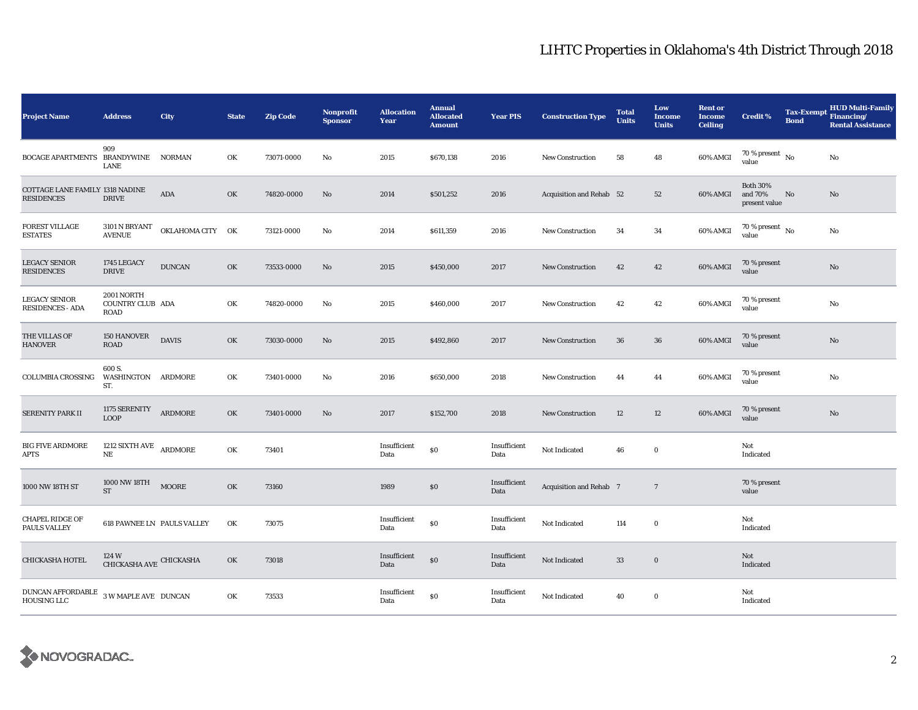| <b>Project Name</b>                                        | <b>Address</b>                                | <b>City</b>      | <b>State</b> | <b>Zip Code</b> | <b>Nonprofit</b><br><b>Sponsor</b> | <b>Allocation</b><br>Year | <b>Annual</b><br><b>Allocated</b><br><b>Amount</b> | <b>Year PIS</b>      | <b>Construction Type</b> | <b>Total</b><br><b>Units</b> | Low<br><b>Income</b><br><b>Units</b> | <b>Rent or</b><br><b>Income</b><br><b>Ceiling</b> | <b>Credit %</b>                             | <b>Bond</b> | <b>HUD Multi-Family</b><br>Tax-Exempt Financing/<br><b>Rental Assistance</b> |
|------------------------------------------------------------|-----------------------------------------------|------------------|--------------|-----------------|------------------------------------|---------------------------|----------------------------------------------------|----------------------|--------------------------|------------------------------|--------------------------------------|---------------------------------------------------|---------------------------------------------|-------------|------------------------------------------------------------------------------|
| BOCAGE APARTMENTS BRANDYWINE NORMAN                        | 909<br><b>LANE</b>                            |                  | OK           | 73071-0000      | No                                 | 2015                      | \$670,138                                          | 2016                 | <b>New Construction</b>  | 58                           | 48                                   | 60% AMGI                                          | 70 % present $\hbox{~No}$<br>value          |             | No                                                                           |
| COTTAGE LANE FAMILY 1318 NADINE<br><b>RESIDENCES</b>       | <b>DRIVE</b>                                  | $\bf{ADA}$       | OK           | 74820-0000      | No                                 | 2014                      | \$501,252                                          | 2016                 | Acquisition and Rehab 52 |                              | 52                                   | 60% AMGI                                          | <b>Both 30%</b><br>and 70%<br>present value | No          | No                                                                           |
| <b>FOREST VILLAGE</b><br><b>ESTATES</b>                    | 3101 N BRYANT<br><b>AVENUE</b>                | OKLAHOMA CITY OK |              | 73121-0000      | No                                 | 2014                      | \$611,359                                          | 2016                 | <b>New Construction</b>  | 34                           | 34                                   | 60% AMGI                                          | $70\,\%$ present $\,$ No value              |             | No                                                                           |
| <b>LEGACY SENIOR</b><br><b>RESIDENCES</b>                  | 1745 LEGACY<br><b>DRIVE</b>                   | <b>DUNCAN</b>    | OK           | 73533-0000      | No                                 | 2015                      | \$450,000                                          | 2017                 | <b>New Construction</b>  | 42                           | 42                                   | 60% AMGI                                          | 70 % present<br>value                       |             | $\mathbf{No}$                                                                |
| <b>LEGACY SENIOR</b><br><b>RESIDENCES - ADA</b>            | 2001 NORTH<br>COUNTRY CLUB ADA<br><b>ROAD</b> |                  | OK           | 74820-0000      | No                                 | 2015                      | \$460,000                                          | 2017                 | <b>New Construction</b>  | 42                           | 42                                   | 60% AMGI                                          | 70 % present<br>value                       |             | $\rm No$                                                                     |
| THE VILLAS OF<br><b>HANOVER</b>                            | 150 HANOVER<br><b>ROAD</b>                    | <b>DAVIS</b>     | OK           | 73030-0000      | No                                 | 2015                      | \$492,860                                          | 2017                 | <b>New Construction</b>  | 36                           | 36                                   | 60% AMGI                                          | 70 % present<br>value                       |             | No                                                                           |
| COLUMBIA CROSSING                                          | 600 S.<br>WASHINGTON ARDMORE<br>ST.           |                  | OK           | 73401-0000      | No                                 | 2016                      | \$650,000                                          | 2018                 | <b>New Construction</b>  | 44                           | 44                                   | 60% AMGI                                          | 70 % present<br>value                       |             | No                                                                           |
| SERENITY PARK II                                           | 1175 SERENITY<br><b>LOOP</b>                  | ARDMORE          | OK           | 73401-0000      | No                                 | 2017                      | \$152,700                                          | 2018                 | New Construction         | 12                           | 12                                   | 60% AMGI                                          | 70 % present<br>value                       |             | No                                                                           |
| <b>BIG FIVE ARDMORE</b><br><b>APTS</b>                     | 1212 SIXTH AVE ARDMORE<br>$\rm{NE}$           |                  | OK           | 73401           |                                    | Insufficient<br>Data      | \$0                                                | Insufficient<br>Data | Not Indicated            | 46                           | $\bf{0}$                             |                                                   | Not<br>Indicated                            |             |                                                                              |
| 1000 NW 18TH ST                                            | 1000 NW 18TH<br><b>ST</b>                     | <b>MOORE</b>     | OK           | 73160           |                                    | 1989                      | \$0                                                | Insufficient<br>Data | Acquisition and Rehab 7  |                              | $7\phantom{.0}$                      |                                                   | 70 % present<br>value                       |             |                                                                              |
| <b>CHAPEL RIDGE OF</b><br>PAULS VALLEY                     | 618 PAWNEE LN PAULS VALLEY                    |                  | OK           | 73075           |                                    | Insufficient<br>Data      | \$0                                                | Insufficient<br>Data | Not Indicated            | 114                          | $\bf{0}$                             |                                                   | Not<br>Indicated                            |             |                                                                              |
| CHICKASHA HOTEL                                            | 124 W<br>CHICKASHA AVE CHICKASHA              |                  | OK           | 73018           |                                    | Insufficient<br>Data      | \$0                                                | Insufficient<br>Data | Not Indicated            | 33                           | $\bf{0}$                             |                                                   | Not<br>Indicated                            |             |                                                                              |
| DUNCAN AFFORDABLE $\,$ 3 W MAPLE AVE DUNCAN<br>HOUSING LLC |                                               |                  | OK           | 73533           |                                    | Insufficient<br>Data      | \$0                                                | Insufficient<br>Data | Not Indicated            | 40                           | $\bf{0}$                             |                                                   | Not<br>Indicated                            |             |                                                                              |

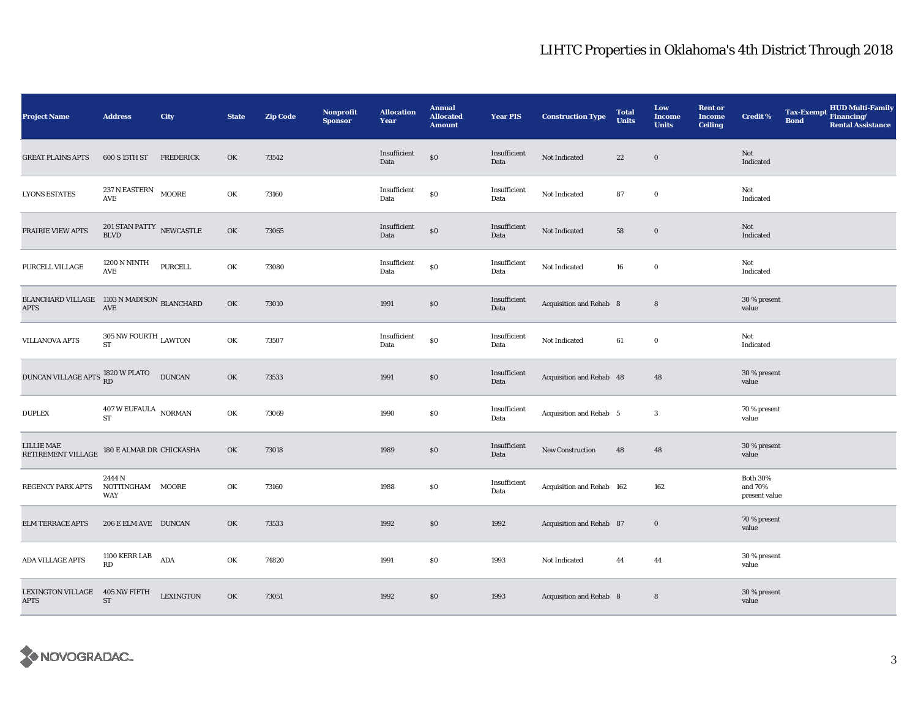| <b>Project Name</b>                                                       | <b>Address</b>                                | City             | <b>State</b> | <b>Zip Code</b> | Nonprofit<br><b>Sponsor</b> | <b>Allocation</b><br>Year | <b>Annual</b><br><b>Allocated</b><br><b>Amount</b> | <b>Year PIS</b>      | <b>Construction Type</b>  | <b>Total</b><br><b>Units</b> | Low<br><b>Income</b><br><b>Units</b> | <b>Rent or</b><br>Income<br><b>Ceiling</b> | <b>Credit %</b>                             | <b>Bond</b> | Tax-Exempt HUD Multi-Family<br><b>Rental Assistance</b> |
|---------------------------------------------------------------------------|-----------------------------------------------|------------------|--------------|-----------------|-----------------------------|---------------------------|----------------------------------------------------|----------------------|---------------------------|------------------------------|--------------------------------------|--------------------------------------------|---------------------------------------------|-------------|---------------------------------------------------------|
| GREAT PLAINS APTS                                                         | 600 S 15TH ST                                 | <b>FREDERICK</b> | OK           | 73542           |                             | Insufficient<br>Data      | \$0                                                | Insufficient<br>Data | Not Indicated             | $\bf 22$                     | $\bf{0}$                             |                                            | Not<br>Indicated                            |             |                                                         |
| <b>LYONS ESTATES</b>                                                      | 237 N EASTERN MOORE<br><b>AVE</b>             |                  | OK           | 73160           |                             | Insufficient<br>Data      | $\$0$                                              | Insufficient<br>Data | Not Indicated             | 87                           | $\bf{0}$                             |                                            | Not<br>Indicated                            |             |                                                         |
| PRAIRIE VIEW APTS                                                         | 201 STAN PATTY $\,$ NEWCASTLE<br><b>BLVD</b>  |                  | OK           | 73065           |                             | Insufficient<br>Data      | $\$0$                                              | Insufficient<br>Data | Not Indicated             | 58                           | $\mathbf 0$                          |                                            | Not<br>Indicated                            |             |                                                         |
| PURCELL VILLAGE                                                           | 1200 N NINTH<br>$\operatorname{AVE}$          | <b>PURCELL</b>   | OK           | 73080           |                             | Insufficient<br>Data      | $\$0$                                              | Insufficient<br>Data | Not Indicated             | 16                           | $\mathbf 0$                          |                                            | Not<br>Indicated                            |             |                                                         |
| <b>BLANCHARD VILLAGE</b> $1103$ N MADISON <b>BLANCHARD</b><br><b>APTS</b> | AVE                                           |                  | OK           | 73010           |                             | 1991                      | \$0                                                | Insufficient<br>Data | Acquisition and Rehab 8   |                              | $\bf 8$                              |                                            | 30 % present<br>value                       |             |                                                         |
| <b>VILLANOVA APTS</b>                                                     | $305$ NW FOURTH $_{\rm LAWTON}$<br><b>ST</b>  |                  | OK           | 73507           |                             | Insufficient<br>Data      | $\$0$                                              | Insufficient<br>Data | Not Indicated             | 61                           | $\mathbf 0$                          |                                            | Not<br>Indicated                            |             |                                                         |
| DUNCAN VILLAGE APTS RD                                                    |                                               | <b>DUNCAN</b>    | OK           | 73533           |                             | 1991                      | $\$0$                                              | Insufficient<br>Data | Acquisition and Rehab 48  |                              | 48                                   |                                            | 30 % present<br>value                       |             |                                                         |
| <b>DUPLEX</b>                                                             | $407\,\mathrm{W}\,\mathrm{EUFAULA}$ NORMAN ST |                  | OK           | 73069           |                             | 1990                      | $\$0$                                              | Insufficient<br>Data | Acquisition and Rehab 5   |                              | $\bf{3}$                             |                                            | 70 % present<br>value                       |             |                                                         |
| LILLIE MAE<br>RETIREMENT VILLAGE                                          | 180 E ALMAR DR CHICKASHA                      |                  | OK           | 73018           |                             | 1989                      | $\$0$                                              | Insufficient<br>Data | <b>New Construction</b>   | 48                           | 48                                   |                                            | 30 % present<br>value                       |             |                                                         |
| REGENCY PARK APTS                                                         | 2444 N<br>NOTTINGHAM<br>WAY                   | MOORE            | OK           | 73160           |                             | 1988                      | \$0                                                | Insufficient<br>Data | Acquisition and Rehab 162 |                              | 162                                  |                                            | <b>Both 30%</b><br>and 70%<br>present value |             |                                                         |
| <b>ELM TERRACE APTS</b>                                                   | 206 E ELM AVE DUNCAN                          |                  | OK           | 73533           |                             | 1992                      | $\$0$                                              | 1992                 | Acquisition and Rehab 87  |                              | $\bf{0}$                             |                                            | 70 % present<br>value                       |             |                                                         |
| ADA VILLAGE APTS                                                          | $1100$ KERR LAB<br>RD                         | ADA              | OK           | 74820           |                             | 1991                      | $\$0$                                              | 1993                 | Not Indicated             | 44                           | 44                                   |                                            | 30 % present<br>value                       |             |                                                         |
| LEXINGTON VILLAGE<br><b>APTS</b>                                          | 405 NW FIFTH<br>$\operatorname{ST}$           | <b>LEXINGTON</b> | OK           | 73051           |                             | 1992                      | $\$0$                                              | 1993                 | Acquisition and Rehab 8   |                              | $\bf 8$                              |                                            | 30 % present<br>value                       |             |                                                         |

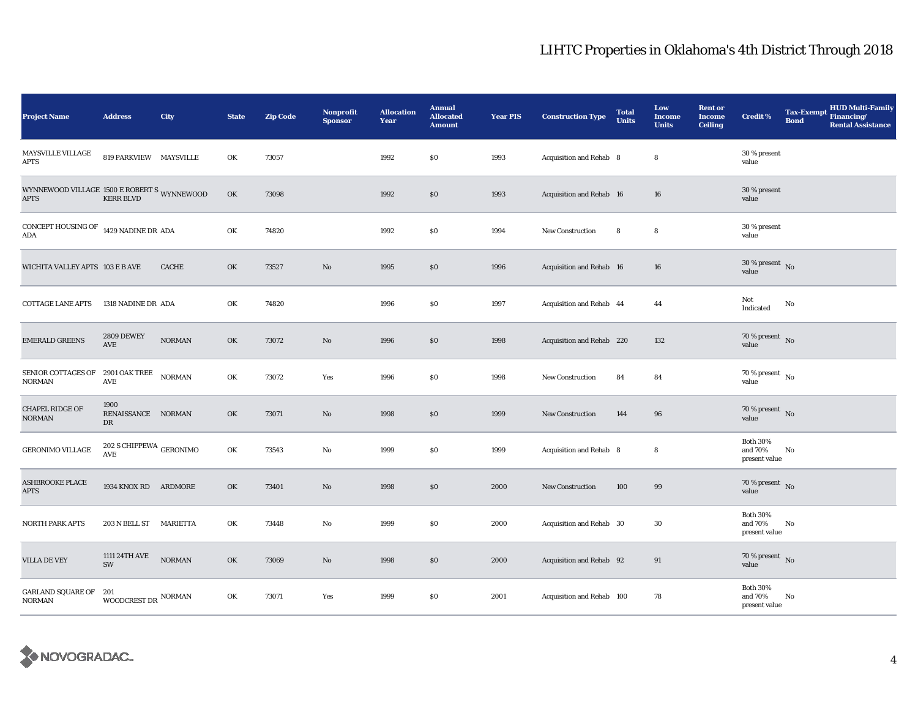| <b>Project Name</b>                                        | <b>Address</b>                          | City          | <b>State</b> | <b>Zip Code</b> | Nonprofit<br><b>Sponsor</b> | <b>Allocation</b><br>Year | <b>Annual</b><br><b>Allocated</b><br><b>Amount</b> | <b>Year PIS</b> | <b>Construction Type</b>  | <b>Total</b><br><b>Units</b> | Low<br><b>Income</b><br><b>Units</b> | <b>Rent or</b><br><b>Income</b><br><b>Ceiling</b> | <b>Credit %</b>                             | Tax-Exempt Financing/<br><b>Bond</b> | <b>HUD Multi-Family</b><br><b>Rental Assistance</b> |
|------------------------------------------------------------|-----------------------------------------|---------------|--------------|-----------------|-----------------------------|---------------------------|----------------------------------------------------|-----------------|---------------------------|------------------------------|--------------------------------------|---------------------------------------------------|---------------------------------------------|--------------------------------------|-----------------------------------------------------|
| MAYSVILLE VILLAGE<br>APTS                                  | 819 PARKVIEW MAYSVILLE                  |               | OK           | 73057           |                             | 1992                      | \$0                                                | 1993            | Acquisition and Rehab 8   |                              | $\bf8$                               |                                                   | 30 % present<br>value                       |                                      |                                                     |
| WYNNEWOOD VILLAGE 1500 E ROBERT S WYNNEWOOD<br><b>APTS</b> | <b>KERR BLVD</b>                        |               | OK           | 73098           |                             | 1992                      | \$0                                                | 1993            | Acquisition and Rehab 16  |                              | 16                                   |                                                   | 30 % present<br>value                       |                                      |                                                     |
| CONCEPT HOUSING OF $\,$ 1429 NADINE DR $\,$ ADA<br>ADA     |                                         |               | OK           | 74820           |                             | 1992                      | <b>SO</b>                                          | 1994            | New Construction          | 8                            | 8                                    |                                                   | 30 % present<br>value                       |                                      |                                                     |
| WICHITA VALLEY APTS 103 E B AVE                            |                                         | <b>CACHE</b>  | OK           | 73527           | No                          | 1995                      | \$0                                                | 1996            | Acquisition and Rehab 16  |                              | 16                                   |                                                   | $30$ % present $\,$ No $\,$<br>value        |                                      |                                                     |
| <b>COTTAGE LANE APTS</b>                                   | 1318 NADINE DR ADA                      |               | OK           | 74820           |                             | 1996                      | \$0                                                | 1997            | Acquisition and Rehab 44  |                              | 44                                   |                                                   | Not<br>Indicated                            | No                                   |                                                     |
| <b>EMERALD GREENS</b>                                      | <b>2809 DEWEY</b><br>AVE                | $NORMAN$      | OK           | 73072           | $\mathbf{N}\mathbf{o}$      | 1996                      | \$0                                                | 1998            | Acquisition and Rehab 220 |                              | 132                                  |                                                   | 70 % present $\,$ No $\,$<br>value          |                                      |                                                     |
| SENIOR COTTAGES OF 2901 OAK TREE<br><b>NORMAN</b>          | $\operatorname{AVE}$                    | $\sf{NORMAN}$ | OK           | 73072           | Yes                         | 1996                      | \$0                                                | 1998            | New Construction          | 84                           | 84                                   |                                                   | 70 % present $\hbox{~No}$<br>value          |                                      |                                                     |
| <b>CHAPEL RIDGE OF</b><br>NORMAN                           | 1900<br>RENAISSANCE NORMAN<br>DR        |               | OK           | 73071           | $\rm No$                    | 1998                      | \$0                                                | 1999            | New Construction          | 144                          | 96                                   |                                                   | $70\%$ present No<br>value                  |                                      |                                                     |
| GERONIMO VILLAGE                                           | 202 S CHIPPEWA $_{\rm GERONIMO}$<br>AVE |               | OK           | 73543           | $\rm No$                    | 1999                      | \$0                                                | 1999            | Acquisition and Rehab 8   |                              | 8                                    |                                                   | <b>Both 30%</b><br>and 70%<br>present value | No                                   |                                                     |
| <b>ASHBROOKE PLACE</b><br><b>APTS</b>                      | 1934 KNOX RD ARDMORE                    |               | OK           | 73401           | $\mathbf{N}\mathbf{o}$      | 1998                      | \$0\$                                              | 2000            | <b>New Construction</b>   | 100                          | 99                                   |                                                   | 70 % present $\,$ No $\,$<br>value          |                                      |                                                     |
| <b>NORTH PARK APTS</b>                                     | 203 N BELL ST                           | MARIETTA      | OK           | 73448           | No                          | 1999                      | \$0                                                | 2000            | Acquisition and Rehab 30  |                              | 30                                   |                                                   | <b>Both 30%</b><br>and 70%<br>present value | No                                   |                                                     |
| <b>VILLA DE VEY</b>                                        | 1111 24TH AVE<br>$\text{SW}\xspace$     | $\rm NORMAN$  | OK           | 73069           | No                          | 1998                      | \$0                                                | 2000            | Acquisition and Rehab 92  |                              | 91                                   |                                                   | 70 % present No<br>value                    |                                      |                                                     |
| <b>GARLAND SQUARE OF</b><br><b>NORMAN</b>                  | 201<br>WOODCREST DR $^{\mbox{NORMAN}}$  |               | OK           | 73071           | Yes                         | 1999                      | \$0                                                | 2001            | Acquisition and Rehab 100 |                              | 78                                   |                                                   | <b>Both 30%</b><br>and 70%<br>present value | No                                   |                                                     |

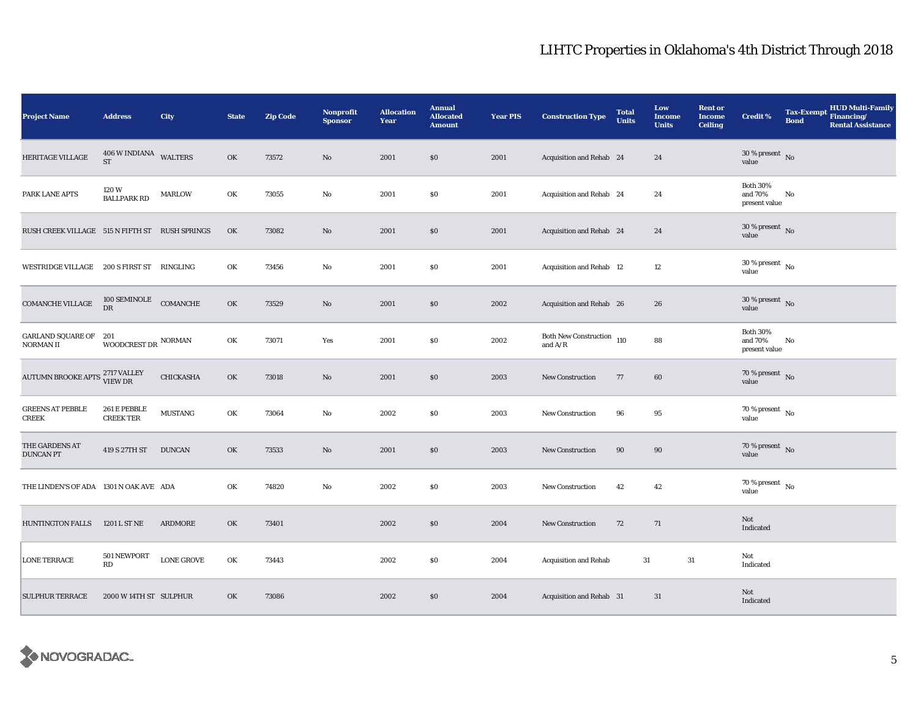| <b>Project Name</b>                            | <b>Address</b>                      | City              | <b>State</b> | <b>Zip Code</b> | <b>Nonprofit</b><br><b>Sponsor</b> | <b>Allocation</b><br>Year | <b>Annual</b><br><b>Allocated</b><br><b>Amount</b> | <b>Year PIS</b> | <b>Construction Type</b>                                 | <b>Total</b><br><b>Units</b> | Low<br><b>Income</b><br><b>Units</b> | <b>Rent or</b><br><b>Income</b><br><b>Ceiling</b> | <b>Credit %</b>                             | Tax-Exempt Financing/<br><b>Bond</b> | <b>HUD Multi-Family</b><br><b>Rental Assistance</b> |
|------------------------------------------------|-------------------------------------|-------------------|--------------|-----------------|------------------------------------|---------------------------|----------------------------------------------------|-----------------|----------------------------------------------------------|------------------------------|--------------------------------------|---------------------------------------------------|---------------------------------------------|--------------------------------------|-----------------------------------------------------|
| HERITAGE VILLAGE                               | 406 W INDIANA WALTERS<br>${\rm ST}$ |                   | OK           | 73572           | No                                 | 2001                      | \$0                                                | 2001            | Acquisition and Rehab 24                                 |                              | 24                                   |                                                   | $30\,\%$ present $\,$ No value              |                                      |                                                     |
| PARK LANE APTS                                 | 120W<br><b>BALLPARK RD</b>          | <b>MARLOW</b>     | OK           | 73055           | No                                 | 2001                      | \$0                                                | 2001            | Acquisition and Rehab 24                                 |                              | 24                                   |                                                   | <b>Both 30%</b><br>and 70%<br>present value | No                                   |                                                     |
| RUSH CREEK VILLAGE 515 N FIFTH ST RUSH SPRINGS |                                     |                   | OK           | 73082           | No                                 | 2001                      | \$0                                                | 2001            | Acquisition and Rehab 24                                 |                              | 24                                   |                                                   | $30$ % present $\,$ No $\,$<br>value        |                                      |                                                     |
| WESTRIDGE VILLAGE 200 S FIRST ST RINGLING      |                                     |                   | OK           | 73456           | No                                 | 2001                      | \$0                                                | 2001            | <b>Acquisition and Rehab 12</b>                          |                              | 12                                   |                                                   | $30$ % present $\,$ No $\,$<br>value        |                                      |                                                     |
| <b>COMANCHE VILLAGE</b>                        | 100 SEMINOLE<br>DR                  | COMANCHE          | OK           | 73529           | $\mathbf{No}$                      | 2001                      | \$0                                                | 2002            | Acquisition and Rehab 26                                 |                              | 26                                   |                                                   | $30$ % present $\,$ No $\,$<br>value        |                                      |                                                     |
| <b>GARLAND SQUARE OF</b><br>NORMAN II          | -201<br>WOODCREST DR $\,$ NORMAN    |                   | OK           | 73071           | Yes                                | 2001                      | \$0                                                | 2002            | Both New Construction 110<br>and $\mathrm{A}/\mathrm{R}$ |                              | 88                                   |                                                   | <b>Both 30%</b><br>and 70%<br>present value | No                                   |                                                     |
| AUTUMN BROOKE APTS 2717 VALLEY                 |                                     | CHICKASHA         | OK           | 73018           | No                                 | 2001                      | \$0                                                | 2003            | <b>New Construction</b>                                  | 77                           | 60                                   |                                                   | $70\,\%$ present $\,$ No value              |                                      |                                                     |
| <b>GREENS AT PEBBLE</b><br>CREEK               | 261 E PEBBLE<br><b>CREEK TER</b>    | <b>MUSTANG</b>    | OK           | 73064           | No                                 | 2002                      | $\$0$                                              | 2003            | <b>New Construction</b>                                  | 96                           | 95                                   |                                                   | $70\,\%$ present $\,$ No value              |                                      |                                                     |
| THE GARDENS AT<br><b>DUNCAN PT</b>             | 419 S 27TH ST DUNCAN                |                   | OK           | 73533           | No                                 | 2001                      | \$0                                                | 2003            | New Construction                                         | 90                           | 90                                   |                                                   | 70 % present $\bar{N}$ o<br>value           |                                      |                                                     |
| THE LINDEN'S OF ADA 1301 N OAK AVE ADA         |                                     |                   | OK           | 74820           | No                                 | 2002                      | \$0                                                | 2003            | New Construction                                         | 42                           | 42                                   |                                                   | 70 % present $\,$ No $\,$<br>value          |                                      |                                                     |
| <b>HUNTINGTON FALLS</b>                        | 1201 L ST NE                        | ARDMORE           | OK           | 73401           |                                    | 2002                      | \$0                                                | 2004            | <b>New Construction</b>                                  | 72                           | 71                                   |                                                   | Not<br>Indicated                            |                                      |                                                     |
| <b>LONE TERRACE</b>                            | 501 NEWPORT<br>RD                   | <b>LONE GROVE</b> | OK           | 73443           |                                    | 2002                      | \$0                                                | 2004            | <b>Acquisition and Rehab</b>                             | 31                           | 31                                   |                                                   | Not<br>Indicated                            |                                      |                                                     |
| <b>SULPHUR TERRACE</b>                         | 2000 W 14TH ST SULPHUR              |                   | OK           | 73086           |                                    | 2002                      | \$0                                                | 2004            | Acquisition and Rehab 31                                 |                              | 31                                   |                                                   | Not<br>Indicated                            |                                      |                                                     |

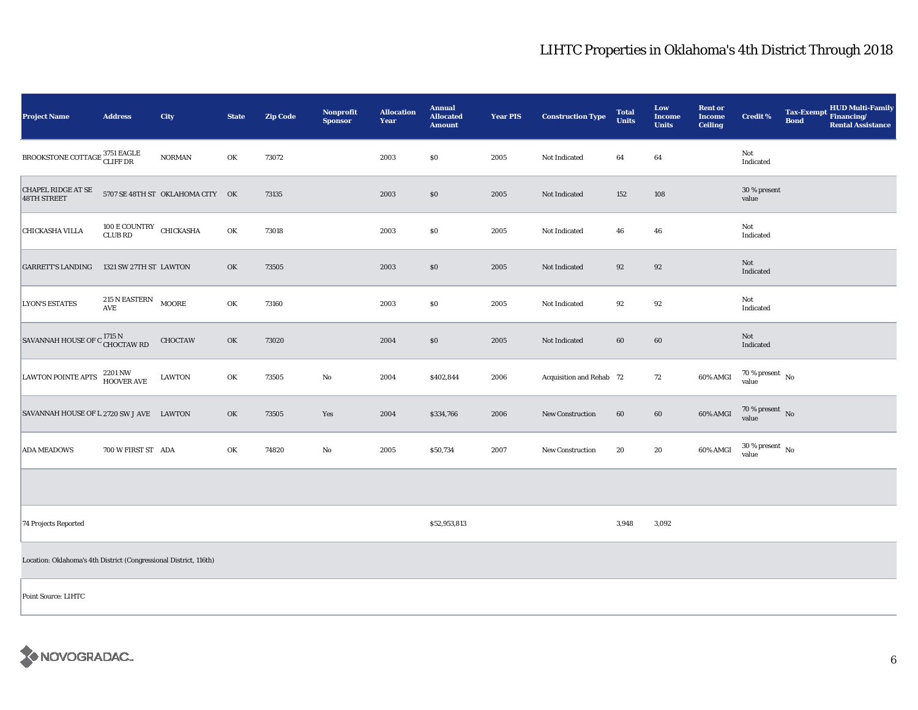| Project Name                                                      | <b>Address</b>                                  | City                             | <b>State</b> | <b>Zip Code</b> | <b>Nonprofit</b><br><b>Sponsor</b> | <b>Allocation</b><br>Year | <b>Annual</b><br><b>Allocated</b><br><b>Amount</b> | <b>Year PIS</b> | <b>Construction Type</b> | <b>Total</b><br><b>Units</b> | Low<br><b>Income</b><br><b>Units</b> | <b>Rent or</b><br><b>Income</b><br><b>Ceiling</b> | <b>Credit %</b>                        | <b>Bond</b> | HUD Multi-Family<br>Tax-Exempt Financing/<br><b>Rental Assistance</b> |
|-------------------------------------------------------------------|-------------------------------------------------|----------------------------------|--------------|-----------------|------------------------------------|---------------------------|----------------------------------------------------|-----------------|--------------------------|------------------------------|--------------------------------------|---------------------------------------------------|----------------------------------------|-------------|-----------------------------------------------------------------------|
| BROOKSTONE COTTAGE $_\mathrm{CLIFF\, DR}^{3751\,EAGLE}$           |                                                 | <b>NORMAN</b>                    | OK           | 73072           |                                    | 2003                      | $\$0$                                              | 2005            | Not Indicated            | 64                           | 64                                   |                                                   | Not<br>Indicated                       |             |                                                                       |
| <b>CHAPEL RIDGE AT SE</b><br>48TH STREET                          |                                                 | 5707 SE 48TH ST OKLAHOMA CITY OK |              | 73135           |                                    | 2003                      | \$0                                                | 2005            | Not Indicated            | 152                          | 108                                  |                                                   | 30 % present<br>value                  |             |                                                                       |
| <b>CHICKASHA VILLA</b>                                            | 100 $\rm E$ COUNTRY CHICKASHA<br><b>CLUB RD</b> |                                  | OK           | 73018           |                                    | 2003                      | \$0                                                | 2005            | Not Indicated            | 46                           | 46                                   |                                                   | Not<br>Indicated                       |             |                                                                       |
| <b>GARRETT'S LANDING</b>                                          | 1321 SW 27TH ST LAWTON                          |                                  | OK           | 73505           |                                    | 2003                      | \$0                                                | 2005            | Not Indicated            | 92                           | 92                                   |                                                   | Not<br>Indicated                       |             |                                                                       |
| <b>LYON'S ESTATES</b>                                             | 215 N EASTERN<br>AVE                            | MOORE                            | OK           | 73160           |                                    | 2003                      | \$0                                                | 2005            | Not Indicated            | 92                           | 92                                   |                                                   | Not<br>Indicated                       |             |                                                                       |
| SAVANNAH HOUSE OF C <sup>1715 N</sup><br>CHOCTAW RD               |                                                 | <b>CHOCTAW</b>                   | OK           | 73020           |                                    | 2004                      | \$0                                                | 2005            | Not Indicated            | 60                           | $60\,$                               |                                                   | Not<br>Indicated                       |             |                                                                       |
| <b>LAWTON POINTE APTS</b>                                         | 2201 NW<br><b>HOOVER AVE</b>                    | <b>LAWTON</b>                    | OK           | 73505           | $\rm No$                           | 2004                      | \$402,844                                          | 2006            | Acquisition and Rehab 72 |                              | 72                                   | 60% AMGI                                          | $70\,\%$ present $\,$ No $\,$<br>value |             |                                                                       |
| SAVANNAH HOUSE OF L 2720 SW J AVE LAWTON                          |                                                 |                                  | OK           | 73505           | Yes                                | 2004                      | \$334,766                                          | 2006            | New Construction         | 60                           | 60                                   | 60% AMGI                                          | $70\,\%$ present $\,$ No value         |             |                                                                       |
| <b>ADA MEADOWS</b>                                                | 700 W FIRST ST ADA                              |                                  | OK           | 74820           | $\rm No$                           | 2005                      | \$50,734                                           | 2007            | New Construction         | 20                           | 20                                   | 60% AMGI                                          | $30\,\%$ present $\,$ No $\,$<br>value |             |                                                                       |
|                                                                   |                                                 |                                  |              |                 |                                    |                           |                                                    |                 |                          |                              |                                      |                                                   |                                        |             |                                                                       |
| 74 Projects Reported                                              |                                                 |                                  |              |                 |                                    |                           | \$52,953,813                                       |                 |                          | 3,948                        | 3,092                                |                                                   |                                        |             |                                                                       |
| Location: Oklahoma's 4th District (Congressional District, 116th) |                                                 |                                  |              |                 |                                    |                           |                                                    |                 |                          |                              |                                      |                                                   |                                        |             |                                                                       |
| Point Source: LIHTC                                               |                                                 |                                  |              |                 |                                    |                           |                                                    |                 |                          |                              |                                      |                                                   |                                        |             |                                                                       |